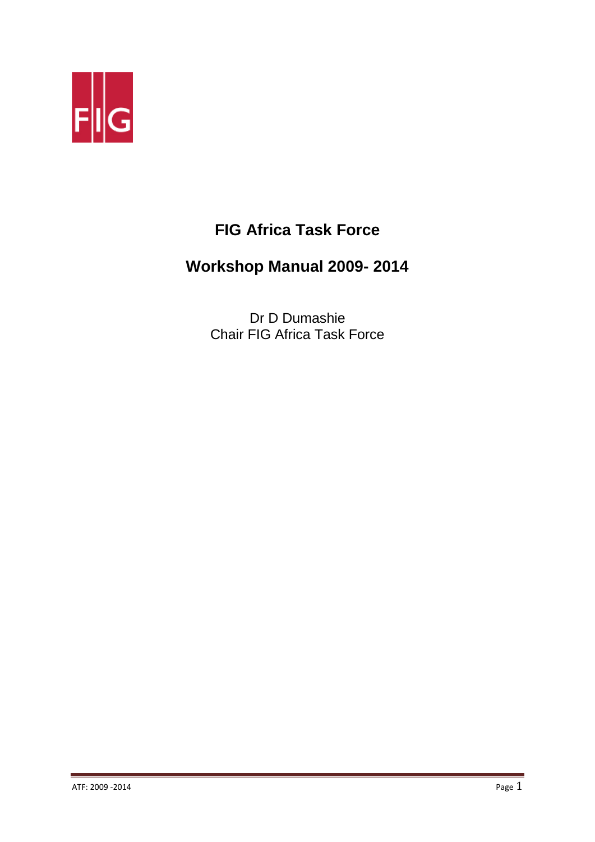

# **FIG Africa Task Force**

# **Workshop Manual 2009- 2014**

Dr D Dumashie Chair FIG Africa Task Force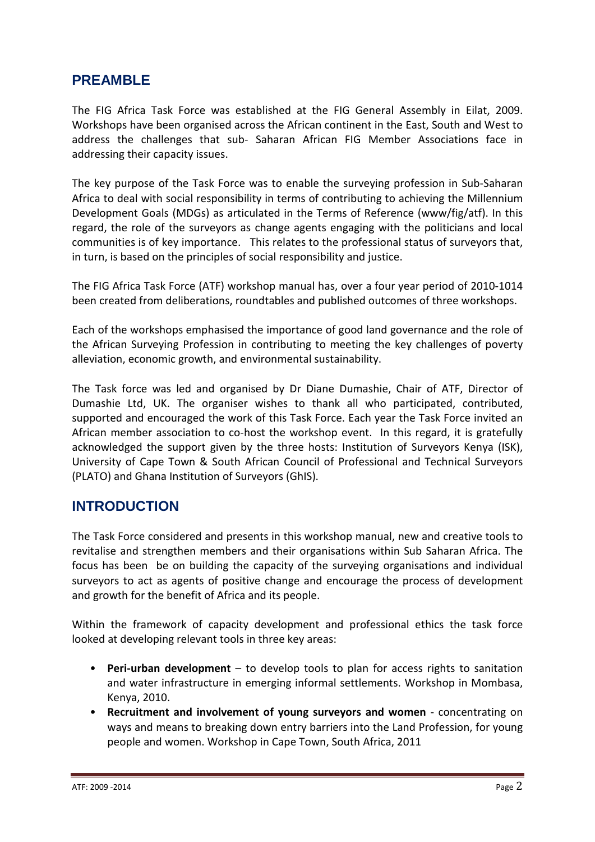## **PREAMBLE**

The FIG Africa Task Force was established at the FIG General Assembly in Eilat, 2009. Workshops have been organised across the African continent in the East, South and West to address the challenges that sub- Saharan African FIG Member Associations face in addressing their capacity issues.

The key purpose of the Task Force was to enable the surveying profession in Sub-Saharan Africa to deal with social responsibility in terms of contributing to achieving the Millennium Development Goals (MDGs) as articulated in the Terms of Reference (www/fig/atf). In this regard, the role of the surveyors as change agents engaging with the politicians and local communities is of key importance. This relates to the professional status of surveyors that, in turn, is based on the principles of social responsibility and justice.

The FIG Africa Task Force (ATF) workshop manual has, over a four year period of 2010-1014 been created from deliberations, roundtables and published outcomes of three workshops.

Each of the workshops emphasised the importance of good land governance and the role of the African Surveying Profession in contributing to meeting the key challenges of poverty alleviation, economic growth, and environmental sustainability.

The Task force was led and organised by Dr Diane Dumashie, Chair of ATF, Director of Dumashie Ltd, UK. The organiser wishes to thank all who participated, contributed, supported and encouraged the work of this Task Force. Each year the Task Force invited an African member association to co-host the workshop event. In this regard, it is gratefully acknowledged the support given by the three hosts: Institution of Surveyors Kenya (ISK), University of Cape Town & South African Council of Professional and Technical Surveyors (PLATO) and Ghana Institution of Surveyors (GhIS).

#### **INTRODUCTION**

The Task Force considered and presents in this workshop manual, new and creative tools to revitalise and strengthen members and their organisations within Sub Saharan Africa. The focus has been be on building the capacity of the surveying organisations and individual surveyors to act as agents of positive change and encourage the process of development and growth for the benefit of Africa and its people.

Within the framework of capacity development and professional ethics the task force looked at developing relevant tools in three key areas:

- **Peri-urban development** to develop tools to plan for access rights to sanitation and water infrastructure in emerging informal settlements. Workshop in Mombasa, Kenya, 2010.
- **Recruitment and involvement of young surveyors and women**  concentrating on ways and means to breaking down entry barriers into the Land Profession, for young people and women. Workshop in Cape Town, South Africa, 2011